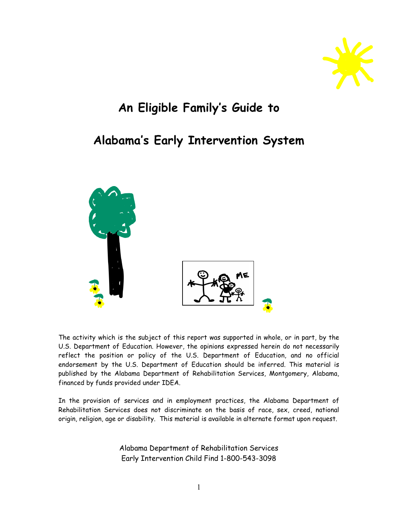

# An Eligible Family's Guide to

# Alabama's Early Intervention System



The activity which is the subject of this report was supported in whole, or in part, by the U.S. Department of Education. However, the opinions expressed herein do not necessarily reflect the position or policy of the U.S. Department of Education, and no official endorsement by the U.S. Department of Education should be inferred. This material is published by the Alabama Department of Rehabilitation Services, Montgomery, Alabama, financed by funds provided under IDEA.

In the provision of services and in employment practices, the Alabama Department of Rehabilitation Services does not discriminate on the basis of race, sex, creed, national origin, religion, age or disability. This material is available in alternate format upon request.

> Alabama Department of Rehabilitation Services Early Intervention Child Find 1-800-543-3098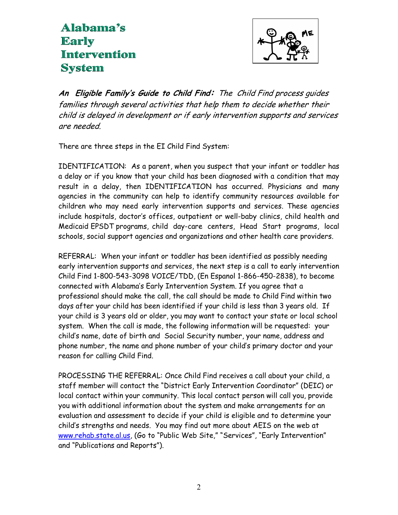# Alabama's **Early Intervention System**



An Eligible Family's Guide to Child Find: The Child Find process guides families through several activities that help them to decide whether their child is delayed in development or if early intervention supports and services are needed.

There are three steps in the EI Child Find System:

IDENTIFICATION: As a parent, when you suspect that your infant or toddler has a delay or if you know that your child has been diagnosed with a condition that may result in a delay, then IDENTIFICATION has occurred. Physicians and many agencies in the community can help to identify community resources available for children who may need early intervention supports and services. These agencies include hospitals, doctor's offices, outpatient or well-baby clinics, child health and Medicaid EPSDT programs, child day-care centers, Head Start programs, local schools, social support agencies and organizations and other health care providers.

REFERRAL: When your infant or toddler has been identified as possibly needing early intervention supports and services, the next step is a call to early intervention Child Find 1-800-543-3098 VOICE/TDD, (En Espanol 1-866-450-2838), to become connected with Alabama's Early Intervention System. If you agree that a professional should make the call, the call should be made to Child Find within two days after your child has been identified if your child is less than 3 years old. If your child is 3 years old or older, you may want to contact your state or local school system. When the call is made, the following information will be requested: your child's name, date of birth and Social Security number, your name, address and phone number, the name and phone number of your child's primary doctor and your reason for calling Child Find.

PROCESSING THE REFERRAL: Once Child Find receives a call about your child, a staff member will contact the "District Early Intervention Coordinator" (DEIC) or local contact within your community. This local contact person will call you, provide you with additional information about the system and make arrangements for an evaluation and assessment to decide if your child is eligible and to determine your child's strengths and needs. You may find out more about AEIS on the web at www.rehab.state.al.us, (Go to "Public Web Site," "Services", "Early Intervention" and "Publications and Reports").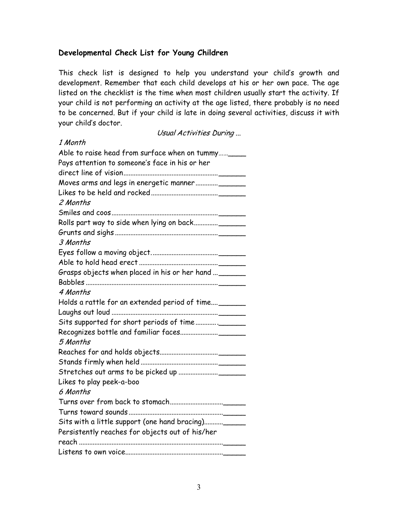### Developmental Check List for Young Children

This check list is designed to help you understand your child's growth and development. Remember that each child develops at his or her own pace. The age listed on the checklist is the time when most children usually start the activity. If your child is not performing an activity at the age listed, there probably is no need to be concerned. But if your child is late in doing several activities, discuss it with your child's doctor.

Usual Activities During ...

| 1 Month                                               |
|-------------------------------------------------------|
| Able to raise head from surface when on tummy____     |
| Pays attention to someone's face in his or her        |
|                                                       |
|                                                       |
|                                                       |
| 2 Months                                              |
|                                                       |
|                                                       |
|                                                       |
| 3 Months                                              |
|                                                       |
|                                                       |
| Grasps objects when placed in his or her hand  ______ |
|                                                       |
| 4 Months                                              |
| Holds a rattle for an extended period of time______   |
|                                                       |
|                                                       |
|                                                       |
| 5 Months                                              |
|                                                       |
|                                                       |
|                                                       |
| Likes to play peek-a-boo                              |
| 6 Months                                              |
|                                                       |
|                                                       |
| Sits with a little support (one hand bracing)_____    |
| Persistently reaches for objects out of his/her       |
|                                                       |
|                                                       |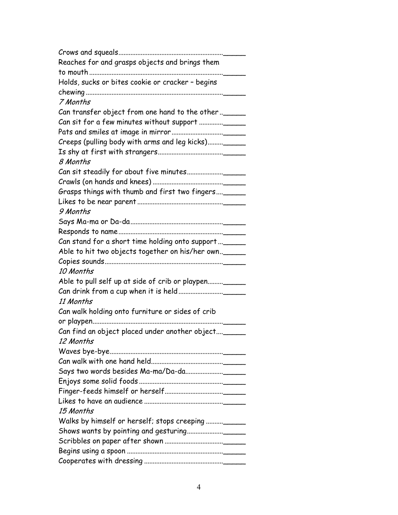| Reaches for and grasps objects and brings them        |
|-------------------------------------------------------|
|                                                       |
| Holds, sucks or bites cookie or cracker - begins      |
|                                                       |
| 7 Months                                              |
| Can transfer object from one hand to the other  _____ |
|                                                       |
|                                                       |
| Creeps (pulling body with arms and leg kicks)______   |
|                                                       |
| 8 Months                                              |
|                                                       |
|                                                       |
| Grasps things with thumb and first two fingers ______ |
|                                                       |
| 9 Months                                              |
|                                                       |
|                                                       |
| Can stand for a short time holding onto support _____ |
| Able to hit two objects together on his/her own.      |
|                                                       |
| 10 Months                                             |
| Able to pull self up at side of crib or playpen       |
|                                                       |
| 11 Months                                             |
| Can walk holding onto furniture or sides of crib      |
|                                                       |
| Can find an object placed under another object        |
| 12 Months                                             |
|                                                       |
|                                                       |
|                                                       |
|                                                       |
|                                                       |
|                                                       |
| 15 Months                                             |
| Walks by himself or herself; stops creeping ______    |
|                                                       |
|                                                       |
|                                                       |
|                                                       |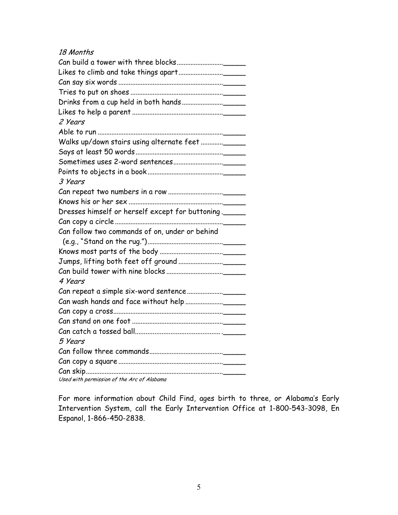#### 18 Months

| 2 Years                                          |
|--------------------------------------------------|
|                                                  |
|                                                  |
|                                                  |
|                                                  |
|                                                  |
| 3 Years                                          |
|                                                  |
|                                                  |
| Dresses himself or herself except for buttoning. |
|                                                  |
| Can follow two commands of on, under or behind   |
|                                                  |
|                                                  |
|                                                  |
|                                                  |
| 4 Years                                          |
|                                                  |
|                                                  |
|                                                  |
|                                                  |
|                                                  |
| 5 Years                                          |
|                                                  |
|                                                  |
|                                                  |
| Used with permission of the Arc of Alabama       |

For more information about Child Find, ages birth to three, or Alabama's Early Intervention System, call the Early Intervention Office at 1-800-543-3098, En Espanol, 1-866-450-2838.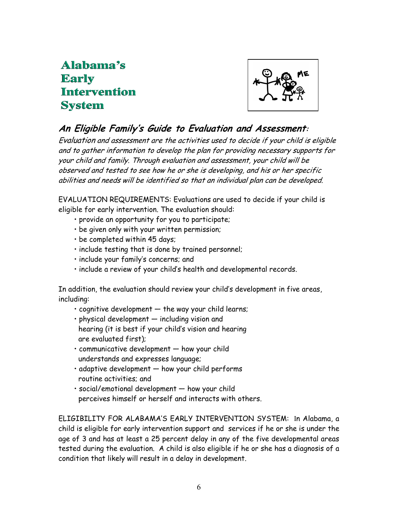# Alahama's **Early Intervention System**



### An Eligible Family's Guide to Evaluation and Assessment:

Evaluation and assessment are the activities used to decide if your child is eligible and to gather information to develop the plan for providing necessary supports for your child and family. Through evaluation and assessment, your child will be observed and tested to see how he or she is developing, and his or her specific abilities and needs will be identified so that an individual plan can be developed.

EVALUATION REQUIREMENTS: Evaluations are used to decide if your child is eligible for early intervention. The evaluation should:

- provide an opportunity for you to participate;
- be given only with your written permission;
- be completed within 45 days;
- include testing that is done by trained personnel;
- include your family's concerns; and
- include a review of your child's health and developmental records.

In addition, the evaluation should review your child's development in five areas, including:

- cognitive development the way your child learns;
- physical development including vision and
- hearing (it is best if your child's vision and hearing are evaluated first);
- communicative development how your child understands and expresses language;
- adaptive development how your child performs routine activities; and
- social/emotional development how your child perceives himself or herself and interacts with others.

ELIGIBILITY FOR ALABAMA'S EARLY INTERVENTION SYSTEM: In Alabama, a child is eligible for early intervention support and services if he or she is under the age of 3 and has at least a 25 percent delay in any of the five developmental areas tested during the evaluation. A child is also eligible if he or she has a diagnosis of a condition that likely will result in a delay in development.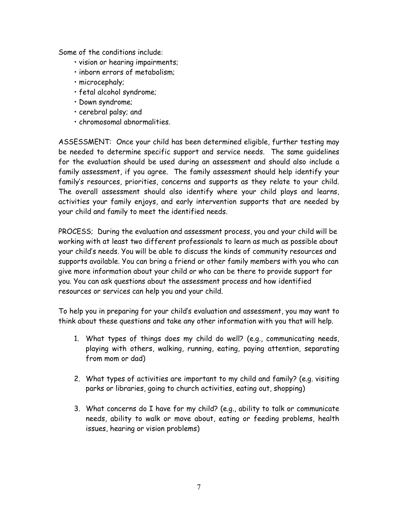Some of the conditions include:

- vision or hearing impairments;
- inborn errors of metabolism;
- microcephaly;
- fetal alcohol syndrome;
- Down syndrome;
- cerebral palsy; and
- chromosomal abnormalities.

ASSESSMENT: Once your child has been determined eligible, further testing may be needed to determine specific support and service needs. The same guidelines for the evaluation should be used during an assessment and should also include a family assessment, if you agree. The family assessment should help identify your family's resources, priorities, concerns and supports as they relate to your child. The overall assessment should also identify where your child plays and learns, activities your family enjoys, and early intervention supports that are needed by your child and family to meet the identified needs.

PROCESS; During the evaluation and assessment process, you and your child will be working with at least two different professionals to learn as much as possible about your child's needs. You will be able to discuss the kinds of community resources and supports available. You can bring a friend or other family members with you who can give more information about your child or who can be there to provide support for you. You can ask questions about the assessment process and how identified resources or services can help you and your child.

To help you in preparing for your child's evaluation and assessment, you may want to think about these questions and take any other information with you that will help.

- 1. What types of things does my child do well? (e.g., communicating needs, playing with others, walking, running, eating, paying attention, separating from mom or dad)
- 2. What types of activities are important to my child and family? (e.g. visiting parks or libraries, going to church activities, eating out, shopping)
- 3. What concerns do I have for my child? (e.g., ability to talk or communicate needs, ability to walk or move about, eating or feeding problems, health issues, hearing or vision problems)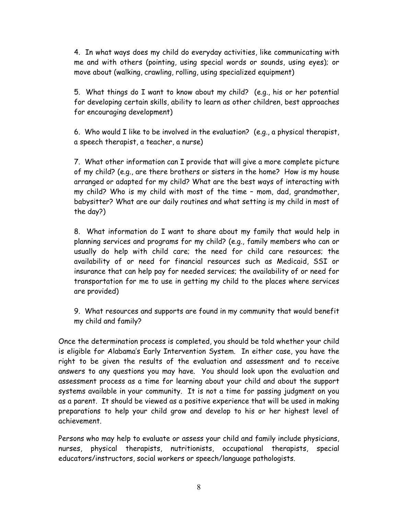4. In what ways does my child do everyday activities, like communicating with me and with others (pointing, using special words or sounds, using eyes); or move about (walking, crawling, rolling, using specialized equipment)

5. What things do I want to know about my child? (e.g., his or her potential for developing certain skills, ability to learn as other children, best approaches for encouraging development)

6. Who would I like to be involved in the evaluation? (e.g., a physical therapist, a speech therapist, a teacher, a nurse)

7. What other information can I provide that will give a more complete picture of my child? (e.g., are there brothers or sisters in the home? How is my house arranged or adapted for my child? What are the best ways of interacting with my child? Who is my child with most of the time – mom, dad, grandmother, babysitter? What are our daily routines and what setting is my child in most of the day?)

8. What information do I want to share about my family that would help in planning services and programs for my child? (e.g., family members who can or usually do help with child care; the need for child care resources; the availability of or need for financial resources such as Medicaid, SSI or insurance that can help pay for needed services; the availability of or need for transportation for me to use in getting my child to the places where services are provided)

9. What resources and supports are found in my community that would benefit my child and family?

Once the determination process is completed, you should be told whether your child is eligible for Alabama's Early Intervention System. In either case, you have the right to be given the results of the evaluation and assessment and to receive answers to any questions you may have. You should look upon the evaluation and assessment process as a time for learning about your child and about the support systems available in your community. It is not a time for passing judgment on you as a parent. It should be viewed as a positive experience that will be used in making preparations to help your child grow and develop to his or her highest level of achievement.

Persons who may help to evaluate or assess your child and family include physicians, nurses, physical therapists, nutritionists, occupational therapists, special educators/instructors, social workers or speech/language pathologists.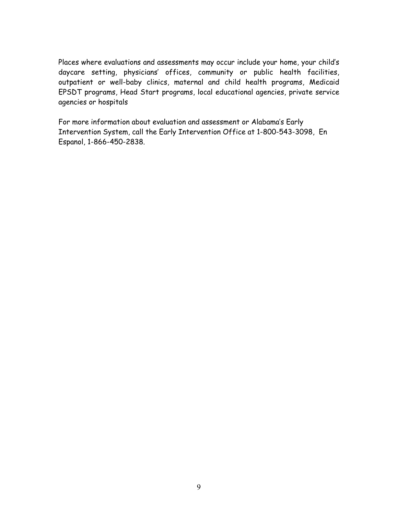Places where evaluations and assessments may occur include your home, your child's daycare setting, physicians' offices, community or public health facilities, outpatient or well-baby clinics, maternal and child health programs, Medicaid EPSDT programs, Head Start programs, local educational agencies, private service agencies or hospitals

For more information about evaluation and assessment or Alabama's Early Intervention System, call the Early Intervention Office at 1-800-543-3098, En Espanol, 1-866-450-2838.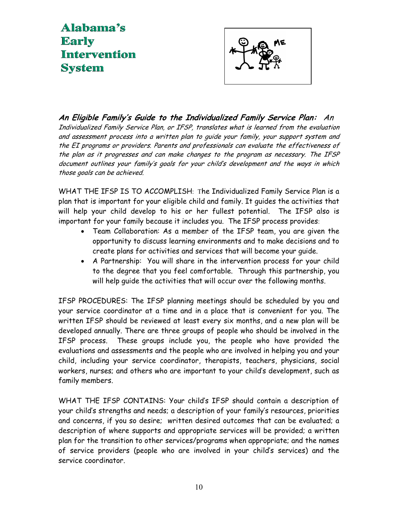# Alabama's **Early Intervention System**



An Eligible Family's Guide to the Individualized Family Service Plan: An Individualized Family Service Plan, or IFSP, translates what is learned from the evaluation and assessment process into a written plan to guide your family, your support system and the EI programs or providers. Parents and professionals can evaluate the effectiveness of the plan as it progresses and can make changes to the program as necessary. The IFSP document outlines your family's goals for your child's development and the ways in which those goals can be achieved.

WHAT THE IFSP IS TO ACCOMPLISH: The Individualized Family Service Plan is a plan that is important for your eligible child and family. It guides the activities that will help your child develop to his or her fullest potential. The IFSP also is important for your family because it includes you. The IFSP process provides:

- Team Collaboration: As a member of the IFSP team, you are given the opportunity to discuss learning environments and to make decisions and to create plans for activities and services that will become your guide.
- A Partnership: You will share in the intervention process for your child to the degree that you feel comfortable. Through this partnership, you will help guide the activities that will occur over the following months.

IFSP PROCEDURES: The IFSP planning meetings should be scheduled by you and your service coordinator at a time and in a place that is convenient for you. The written IFSP should be reviewed at least every six months, and a new plan will be developed annually. There are three groups of people who should be involved in the IFSP process. These groups include you, the people who have provided the evaluations and assessments and the people who are involved in helping you and your child, including your service coordinator, therapists, teachers, physicians, social workers, nurses; and others who are important to your child's development, such as family members.

WHAT THE IFSP CONTAINS: Your child's IFSP should contain a description of your child's strengths and needs; a description of your family's resources, priorities and concerns, if you so desire; written desired outcomes that can be evaluated; a description of where supports and appropriate services will be provided; a written plan for the transition to other services/programs when appropriate; and the names of service providers (people who are involved in your child's services) and the service coordinator.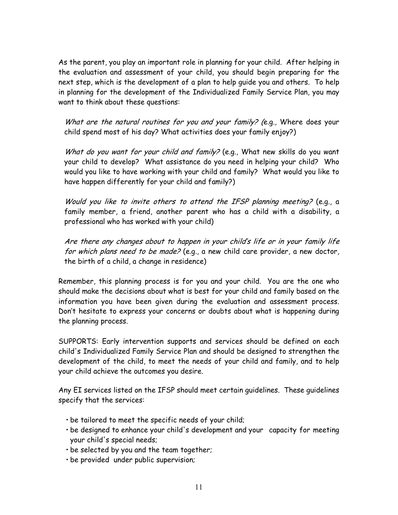As the parent, you play an important role in planning for your child. After helping in the evaluation and assessment of your child, you should begin preparing for the next step, which is the development of a plan to help guide you and others. To help in planning for the development of the Individualized Family Service Plan, you may want to think about these questions:

What are the natural routines for you and your family? (e.g., Where does your child spend most of his day? What activities does your family enjoy?)

What do you want for your child and family? (e.g., What new skills do you want your child to develop? What assistance do you need in helping your child? Who would you like to have working with your child and family? What would you like to have happen differently for your child and family?)

Would you like to invite others to attend the IFSP planning meeting? (e.g., a family member, a friend, another parent who has a child with a disability, a professional who has worked with your child)

Are there any changes about to happen in your child's life or in your family life for which plans need to be made? (e.g., a new child care provider, a new doctor, the birth of a child, a change in residence)

Remember, this planning process is for you and your child. You are the one who should make the decisions about what is best for your child and family based on the information you have been given during the evaluation and assessment process. Don't hesitate to express your concerns or doubts about what is happening during the planning process.

SUPPORTS: Early intervention supports and services should be defined on each child's Individualized Family Service Plan and should be designed to strengthen the development of the child, to meet the needs of your child and family, and to help your child achieve the outcomes you desire.

Any EI services listed on the IFSP should meet certain guidelines. These guidelines specify that the services:

- be tailored to meet the specific needs of your child;
- be designed to enhance your child's development and your capacity for meeting your child's special needs;
- be selected by you and the team together;
- be provided under public supervision;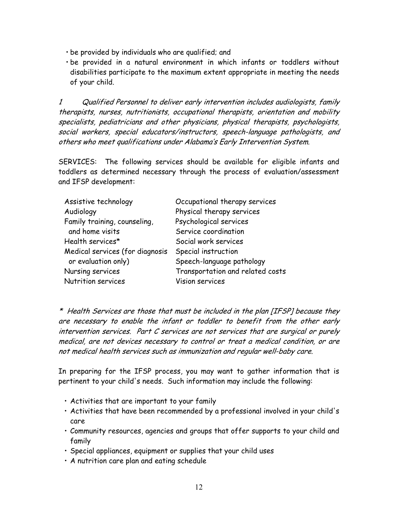- be provided by individuals who are qualified; and
- be provided in a natural environment in which infants or toddlers without disabilities participate to the maximum extent appropriate in meeting the needs of your child.

1 Qualified Personnel to deliver early intervention includes audiologists, family therapists, nurses, nutritionists, occupational therapists, orientation and mobility specialists, pediatricians and other physicians, physical therapists, psychologists, social workers, special educators/instructors, speech-language pathologists, and others who meet qualifications under Alabama's Early Intervention System.

SERVICES: The following services should be available for eligible infants and toddlers as determined necessary through the process of evaluation/assessment and IFSP development:

| Assistive technology            | Occupational therapy services    |
|---------------------------------|----------------------------------|
| Audiology                       | Physical therapy services        |
| Family training, counseling,    | Psychological services           |
| and home visits                 | Service coordination             |
| Health services*                | Social work services             |
| Medical services (for diagnosis | Special instruction              |
| or evaluation only)             | Speech-language pathology        |
| Nursing services                | Transportation and related costs |
| Nutrition services              | Vision services                  |

\* Health Services are those that must be included in the plan [IFSP] because they are necessary to enable the infant or toddler to benefit from the other early intervention services. Part C services are not services that are surgical or purely medical, are not devices necessary to control or treat a medical condition, or are not medical health services such as immunization and regular well-baby care.

In preparing for the IFSP process, you may want to gather information that is pertinent to your child's needs. Such information may include the following:

- Activities that are important to your family
- Activities that have been recommended by a professional involved in your child's care
- Community resources, agencies and groups that offer supports to your child and family
- Special appliances, equipment or supplies that your child uses
- A nutrition care plan and eating schedule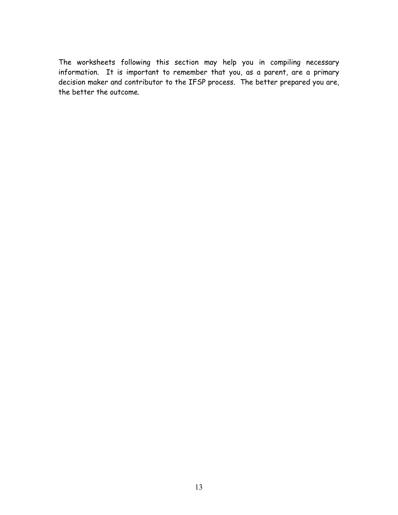The worksheets following this section may help you in compiling necessary information. It is important to remember that you, as a parent, are a primary decision maker and contributor to the IFSP process. The better prepared you are, the better the outcome.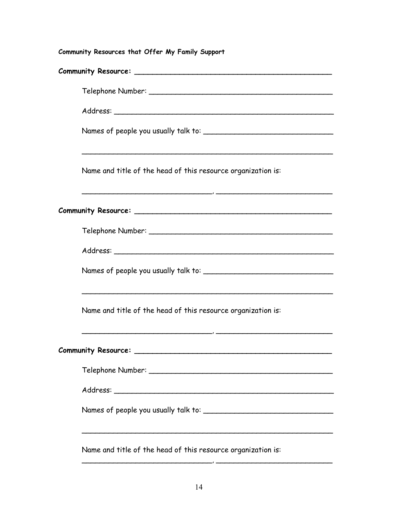Community Resources that Offer My Family Support Community Resource: \_\_\_\_\_\_\_\_\_\_\_\_\_\_\_\_\_\_\_\_\_\_\_\_\_\_\_\_\_\_\_\_\_\_\_\_\_\_\_\_\_\_\_\_ Telephone Number: \_\_\_\_\_\_\_\_\_\_\_\_\_\_\_\_\_\_\_\_\_\_\_\_\_\_\_\_\_\_\_\_\_\_\_\_\_\_\_\_\_ Address: \_\_\_\_\_\_\_\_\_\_\_\_\_\_\_\_\_\_\_\_\_\_\_\_\_\_\_\_\_\_\_\_\_\_\_\_\_\_\_\_\_\_\_\_\_\_\_\_\_ Names of people you usually talk to: \_\_\_\_\_\_\_\_\_\_\_\_\_\_\_\_\_\_\_\_\_\_\_\_\_\_\_\_\_ \_\_\_\_\_\_\_\_\_\_\_\_\_\_\_\_\_\_\_\_\_\_\_\_\_\_\_\_\_\_\_\_\_\_\_\_\_\_\_\_\_\_\_\_\_\_\_\_\_\_\_\_\_\_\_\_ Name and title of the head of this resource organization is: \_\_\_\_\_\_\_\_\_\_\_\_\_\_\_\_\_\_\_\_\_\_\_\_\_\_\_\_\_, \_\_\_\_\_\_\_\_\_\_\_\_\_\_\_\_\_\_\_\_\_\_\_\_\_\_ Community Resource: \_\_\_\_\_\_\_\_\_\_\_\_\_\_\_\_\_\_\_\_\_\_\_\_\_\_\_\_\_\_\_\_\_\_\_\_\_\_\_\_\_\_\_\_ Telephone Number: \_\_\_\_\_\_\_\_\_\_\_\_\_\_\_\_\_\_\_\_\_\_\_\_\_\_\_\_\_\_\_\_\_\_\_\_\_\_\_\_\_ Address: \_\_\_\_\_\_\_\_\_\_\_\_\_\_\_\_\_\_\_\_\_\_\_\_\_\_\_\_\_\_\_\_\_\_\_\_\_\_\_\_\_\_\_\_\_\_\_\_\_ Names of people you usually talk to: \_\_\_\_\_\_\_\_\_\_\_\_\_\_\_\_\_\_\_\_\_\_\_\_\_\_\_\_\_ \_\_\_\_\_\_\_\_\_\_\_\_\_\_\_\_\_\_\_\_\_\_\_\_\_\_\_\_\_\_\_\_\_\_\_\_\_\_\_\_\_\_\_\_\_\_\_\_\_\_\_\_\_\_\_\_ Name and title of the head of this resource organization is:  $\overline{\phantom{a}}$  ,  $\overline{\phantom{a}}$  ,  $\overline{\phantom{a}}$  ,  $\overline{\phantom{a}}$  ,  $\overline{\phantom{a}}$  ,  $\overline{\phantom{a}}$  ,  $\overline{\phantom{a}}$  ,  $\overline{\phantom{a}}$  ,  $\overline{\phantom{a}}$  ,  $\overline{\phantom{a}}$  ,  $\overline{\phantom{a}}$  ,  $\overline{\phantom{a}}$  ,  $\overline{\phantom{a}}$  ,  $\overline{\phantom{a}}$  ,  $\overline{\phantom{a}}$  ,  $\overline{\phantom{a}}$ Community Resource: \_\_\_\_\_\_\_\_\_\_\_\_\_\_\_\_\_\_\_\_\_\_\_\_\_\_\_\_\_\_\_\_\_\_\_\_\_\_\_\_\_\_\_\_ Telephone Number: \_\_\_\_\_\_\_\_\_\_\_\_\_\_\_\_\_\_\_\_\_\_\_\_\_\_\_\_\_\_\_\_\_\_\_\_\_\_\_\_\_ Address: \_\_\_\_\_\_\_\_\_\_\_\_\_\_\_\_\_\_\_\_\_\_\_\_\_\_\_\_\_\_\_\_\_\_\_\_\_\_\_\_\_\_\_\_\_\_\_\_\_ Names of people you usually talk to: \_\_\_\_\_\_\_\_\_\_\_\_\_\_\_\_\_\_\_\_\_\_\_\_\_\_\_\_\_ \_\_\_\_\_\_\_\_\_\_\_\_\_\_\_\_\_\_\_\_\_\_\_\_\_\_\_\_\_\_\_\_\_\_\_\_\_\_\_\_\_\_\_\_\_\_\_\_\_\_\_\_\_\_\_\_ Name and title of the head of this resource organization is:

\_\_\_\_\_\_\_\_\_\_\_\_\_\_\_\_\_\_\_\_\_\_\_\_\_\_\_\_\_, \_\_\_\_\_\_\_\_\_\_\_\_\_\_\_\_\_\_\_\_\_\_\_\_\_\_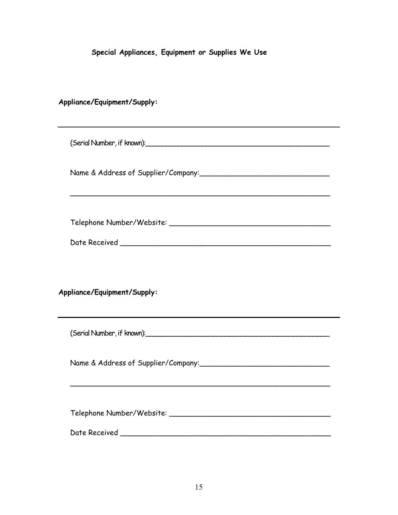Special Appliances, Equipment or Supplies We Use

Appliance/Equipment/Supply: (Serial Number, if known):\_\_\_\_\_\_\_\_\_\_\_\_\_\_\_\_\_\_\_\_\_\_\_\_\_\_\_\_\_\_\_\_\_\_\_\_\_\_\_\_\_\_\_\_\_\_ Name & Address of Supplier/Company:\_\_\_\_\_\_\_\_\_\_\_\_\_\_\_\_\_\_\_\_\_\_\_\_\_\_\_\_\_ \_\_\_\_\_\_\_\_\_\_\_\_\_\_\_\_\_\_\_\_\_\_\_\_\_\_\_\_\_\_\_\_\_\_\_\_\_\_\_\_\_\_\_\_\_\_\_\_\_\_\_\_\_\_\_\_\_\_ Telephone Number/Website: \_\_\_\_\_\_\_\_\_\_\_\_\_\_\_\_\_\_\_\_\_\_\_\_\_\_\_\_\_\_\_\_\_\_\_\_ Date Received \_\_\_\_\_\_\_\_\_\_\_\_\_\_\_\_\_\_\_\_\_\_\_\_\_\_\_\_\_\_\_\_\_\_\_\_\_\_\_\_\_\_\_\_\_\_\_ Appliance/Equipment/Supply: (Serial Number, if known):\_\_\_\_\_\_\_\_\_\_\_\_\_\_\_\_\_\_\_\_\_\_\_\_\_\_\_\_\_\_\_\_\_\_\_\_\_\_\_\_\_\_\_\_\_\_ Name & Address of Supplier/Company:  $-$  Telephone Number/Website: \_\_\_\_\_\_\_\_\_\_\_\_\_\_\_\_\_\_\_\_\_\_\_\_\_\_\_\_\_\_\_\_\_\_\_\_ Date Received \_\_\_\_\_\_\_\_\_\_\_\_\_\_\_\_\_\_\_\_\_\_\_\_\_\_\_\_\_\_\_\_\_\_\_\_\_\_\_\_\_\_\_\_\_\_\_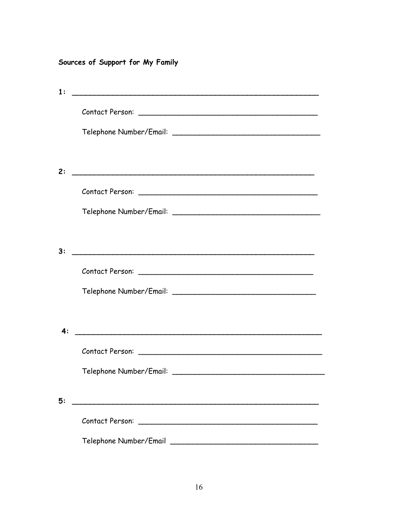### Sources of Support for My Family

| 1: |                                                                                                                      |
|----|----------------------------------------------------------------------------------------------------------------------|
|    |                                                                                                                      |
|    |                                                                                                                      |
|    |                                                                                                                      |
| 2: |                                                                                                                      |
|    |                                                                                                                      |
|    |                                                                                                                      |
|    |                                                                                                                      |
| 3: |                                                                                                                      |
|    |                                                                                                                      |
|    |                                                                                                                      |
|    |                                                                                                                      |
| 4: |                                                                                                                      |
|    |                                                                                                                      |
|    |                                                                                                                      |
|    |                                                                                                                      |
| 5: | <u> 1989 - Johann Barn, mars eta bainar eta bainar eta baina eta baina eta baina eta baina eta baina eta baina e</u> |
|    |                                                                                                                      |
|    |                                                                                                                      |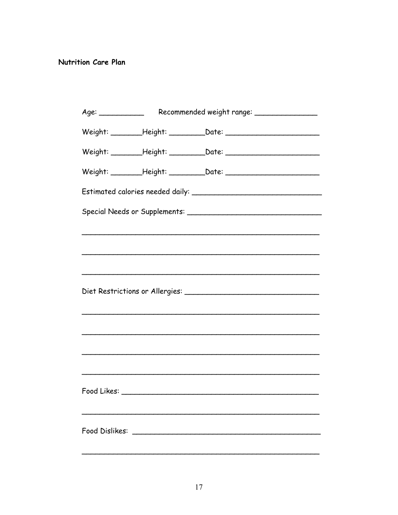#### Nutrition Care Plan

|                |  | Weight: __________Height: ______________Date: __________________________________ |  |  |  |
|----------------|--|----------------------------------------------------------------------------------|--|--|--|
|                |  | Weight: __________Height: ______________Date: __________________________________ |  |  |  |
|                |  | Weight: __________Height: ______________Date: __________________________________ |  |  |  |
|                |  |                                                                                  |  |  |  |
|                |  |                                                                                  |  |  |  |
|                |  |                                                                                  |  |  |  |
|                |  |                                                                                  |  |  |  |
|                |  |                                                                                  |  |  |  |
|                |  |                                                                                  |  |  |  |
|                |  |                                                                                  |  |  |  |
|                |  |                                                                                  |  |  |  |
|                |  |                                                                                  |  |  |  |
|                |  |                                                                                  |  |  |  |
|                |  |                                                                                  |  |  |  |
|                |  |                                                                                  |  |  |  |
| Food Dislikes: |  |                                                                                  |  |  |  |
|                |  |                                                                                  |  |  |  |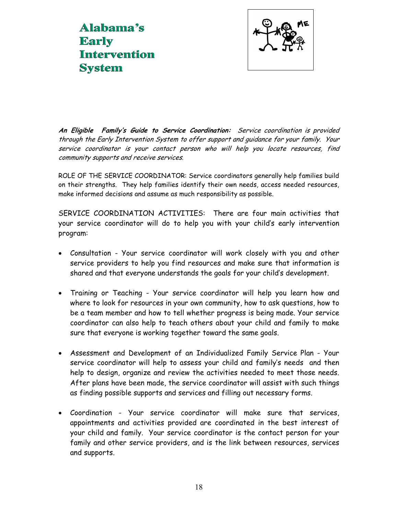Alabama's **Early Intervention System** 



An Eligible Family's Guide to Service Coordination: Service coordination is provided through the Early Intervention System to offer support and guidance for your family. Your service coordinator is your contact person who will help you locate resources, find community supports and receive services.

ROLE OF THE SERVICE COORDINATOR: Service coordinators generally help families build on their strengths. They help families identify their own needs, access needed resources, make informed decisions and assume as much responsibility as possible.

SERVICE COORDINATION ACTIVITIES: There are four main activities that your service coordinator will do to help you with your child's early intervention program:

- Consultation Your service coordinator will work closely with you and other service providers to help you find resources and make sure that information is shared and that everyone understands the goals for your child's development.
- Training or Teaching Your service coordinator will help you learn how and where to look for resources in your own community, how to ask questions, how to be a team member and how to tell whether progress is being made. Your service coordinator can also help to teach others about your child and family to make sure that everyone is working together toward the same goals.
- Assessment and Development of an Individualized Family Service Plan Your service coordinator will help to assess your child and family's needs and then help to design, organize and review the activities needed to meet those needs. After plans have been made, the service coordinator will assist with such things as finding possible supports and services and filling out necessary forms.
- Coordination Your service coordinator will make sure that services, appointments and activities provided are coordinated in the best interest of your child and family. Your service coordinator is the contact person for your family and other service providers, and is the link between resources, services and supports.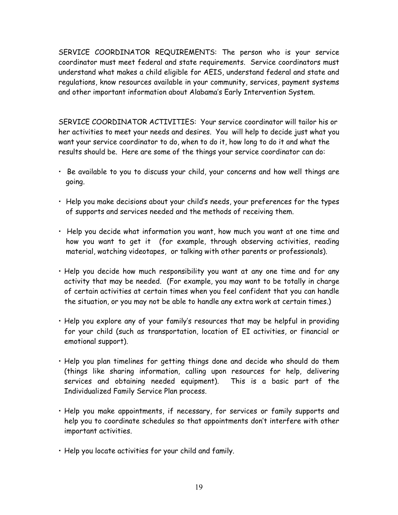SERVICE COORDINATOR REQUIREMENTS: The person who is your service coordinator must meet federal and state requirements. Service coordinators must understand what makes a child eligible for AEIS, understand federal and state and regulations, know resources available in your community, services, payment systems and other important information about Alabama's Early Intervention System.

SERVICE COORDINATOR ACTIVITIES: Your service coordinator will tailor his or her activities to meet your needs and desires. You will help to decide just what you want your service coordinator to do, when to do it, how long to do it and what the results should be. Here are some of the things your service coordinator can do:

- Be available to you to discuss your child, your concerns and how well things are going.
- Help you make decisions about your child's needs, your preferences for the types of supports and services needed and the methods of receiving them.
- Help you decide what information you want, how much you want at one time and how you want to get it (for example, through observing activities, reading material, watching videotapes, or talking with other parents or professionals).
- Help you decide how much responsibility you want at any one time and for any activity that may be needed. (For example, you may want to be totally in charge of certain activities at certain times when you feel confident that you can handle the situation, or you may not be able to handle any extra work at certain times.)
- Help you explore any of your family's resources that may be helpful in providing for your child (such as transportation, location of EI activities, or financial or emotional support).
- Help you plan timelines for getting things done and decide who should do them (things like sharing information, calling upon resources for help, delivering services and obtaining needed equipment). This is a basic part of the Individualized Family Service Plan process.
- Help you make appointments, if necessary, for services or family supports and help you to coordinate schedules so that appointments don't interfere with other important activities.
- Help you locate activities for your child and family.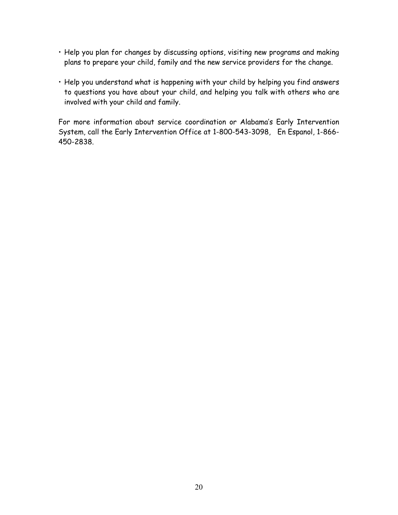- Help you plan for changes by discussing options, visiting new programs and making plans to prepare your child, family and the new service providers for the change.
- Help you understand what is happening with your child by helping you find answers to questions you have about your child, and helping you talk with others who are involved with your child and family.

For more information about service coordination or Alabama's Early Intervention System, call the Early Intervention Office at 1-800-543-3098, En Espanol, 1-866- 450-2838.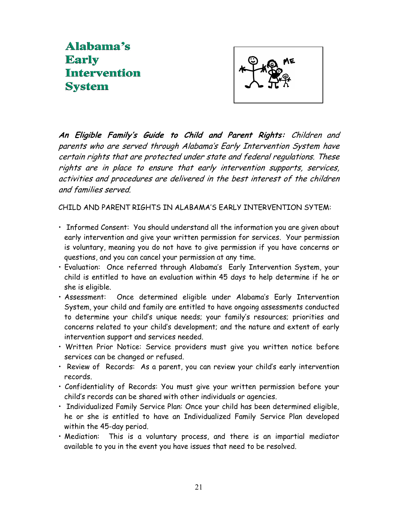## Alabama's **Early Intervention System**



An Eligible Family's Guide to Child and Parent Rights: Children and parents who are served through Alabama's Early Intervention System have certain rights that are protected under state and federal regulations. These rights are in place to ensure that early intervention supports, services, activities and procedures are delivered in the best interest of the children and families served.

CHILD AND PARENT RIGHTS IN ALABAMA'S EARLY INTERVENTION SYTEM:

- Informed Consent: You should understand all the information you are given about early intervention and give your written permission for services. Your permission is voluntary, meaning you do not have to give permission if you have concerns or questions, and you can cancel your permission at any time.
- Evaluation: Once referred through Alabama's Early Intervention System, your child is entitled to have an evaluation within 45 days to help determine if he or she is eligible.
- Assessment: Once determined eligible under Alabama's Early Intervention System, your child and family are entitled to have ongoing assessments conducted to determine your child's unique needs; your family's resources; priorities and concerns related to your child's development; and the nature and extent of early intervention support and services needed.
- Written Prior Notice: Service providers must give you written notice before services can be changed or refused.
- Review of Records: As a parent, you can review your child's early intervention records.
- Confidentiality of Records: You must give your written permission before your child's records can be shared with other individuals or agencies.
- Individualized Family Service Plan: Once your child has been determined eligible, he or she is entitled to have an Individualized Family Service Plan developed within the 45-day period.
- Mediation: This is a voluntary process, and there is an impartial mediator available to you in the event you have issues that need to be resolved.